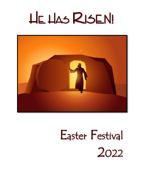# He Has RISEN!



# Easter Festival 2022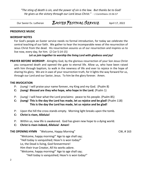*"The sting of death is sin, and the power of sin is the law. But thanks be to God! He gives us the victory through our Lord Jesus Christ." - 1 Corinthians 15:56-57*

 $\_$  ,  $\_$  ,  $\_$  ,  $\_$  ,  $\_$  ,  $\_$  ,  $\_$  ,  $\_$  ,  $\_$  ,  $\_$  ,  $\_$  ,  $\_$  ,  $\_$  ,  $\_$  ,  $\_$  ,  $\_$  ,  $\_$  ,  $\_$  ,  $\_$  ,  $\_$  ,  $\_$  ,  $\_$  ,  $\_$  ,  $\_$  ,  $\_$  ,  $\_$  ,  $\_$  ,  $\_$  ,  $\_$  ,  $\_$  ,  $\_$  ,  $\_$  ,  $\_$  ,  $\_$  ,  $\_$  ,  $\_$  ,  $\_$  ,

### Our Savior Ev. Lutheran EASTER FESTIVAL SERVICE April 17, 2022

#### **PRESERVICE MUSIC**

#### **WORSHIP NOTES**

For God's people an Easter service needs no formal introduction, for today we celebrate the central teaching of our faith. We gather to hear the incomparable news of the resurrection of Jesus Christ from the dead. His resurrection assures us of our resurrection and inspires us to live now, every day, for him. (2 Cor 5:14-15)

*Let us join together to worship the living Lord with gladness and joy!*

**PRAYER BEFORE WORSHIP:** Almighty God, by the glorious resurrection of your Son Jesus Christ you conquered death and opened the gate to eternal life. Allow us, who have been raised with him through baptism, to walk in the newness of life and ever to rejoice in the hope of sharing his glory. We are in awe of your resurrection truth, for it lights the way forward for us, through our Lord and our Savior, Jesus. To him be the glory forever. Amen.

#### **THE INVOCATION**

- P: *(sung)* I will praise your name forever, my King and my God. (Psalm 8)
- **C:** *(sung)* **Blessed are they who hope, who hope in the Lord.** (Psalm 1)
- P: *(sung)* I will hear what the Lord proclaims: peace to his people. (Psalm 85)
- **C:** *(sung)* **This is the day the Lord has made, let us rejoice and be glad!** (Psalm 118)  **This is the day the Lord has made, let us rejoice and be glad!**
- P: Upon the hill the cross stands empty. Morning light breaks upon the tomb.
- **C: Christ is risen, Alleluia!**
- P: Within us, new life is awakened. God has given new hope to a dying world.
- **C: Christ is risen indeed, Alleluia! Amen!**

**THE OPENING HYMN** "Welcome, Happy Morning" CW, #163

"Welcome, happy morning!" Age to age shall say; "Hell today is vanquished; Heav'n is won today!" Lo, the Dead is living, God forevermore! Him their true Creator, All his works adore. "Welcome, happy morning!" Age to age shall say;

"Hell today is vanquished; Heav'n is won today!"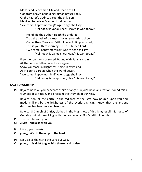Maker and Redeemer, Life and Health of all, God from heav'n beholding Human nature's fall, Of the Father's Godhead You, the only Son, Mankind to deliver Manhood did put on. "Welcome, happy morning!" Age to age shall say; "Hell today is vanquished; Heav'n is won today!"

He, of life the author, Death did undergo, Trod the path of darkness, Saving strength to show. Come, then, True and Faithful, Now fulfill your word; This is your third morning -- Rise, O buried Lord. "Welcome, happy morning!" Age to age shall say; "Hell today is vanquished; Heav'n is won today!"

Free the souls long prisoned, Bound with Satan's chain; All that now is fallen Raise to life again. Show your face in brightness; Shine in ev'ry land As in Eden's garden When the world began. "Welcome, happy morning!" Age to age shall say; "Hell today is vanquished; Heav'n is won today!"

#### **CALL TO WORSHIP**

**P:** Rejoice now, all you heavenly choirs of angels; rejoice now, all creation; sound forth, trumpet of salvation, and proclaim the triumph of our King.

Rejoice, too, all the earth, in the radiance of the light now poured upon you and made brilliant by the brightness of the everlasting King; know that the ancient darkness has been forever banished.

Rejoice, O Church of Christ, clothed in the brightness of this light; let all this house of God ring out with rejoicing, with the praises of all God's faithful people.

- **P:** The Lord be with you,
- **C:** *(sung)* **and also with you.**
- **P:** Lift up your hearts
- **C:** *(sung)* **We lift them up to the Lord.**
- **P:** Let us give thanks to the Lord our God.
- **C:** *(sung)* **It is right to give him thanks and praise.**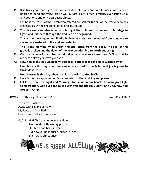**P:** It is truly good and right that we should at all times and in all places, with all our heart and mind and voice, praise you, O Lord, Holy Father, almighty everlasting God, and your one and only Son, Jesus Christ.

For he is the true Paschal Lamb who offered himself for the sin of the world, who has cleansed us by the shedding of his precious blood.

**C: This day we remember when you brought the children of Israel out of bondage in Egypt and led them through the Red Sea on dry ground.**

**This is the morning when all who believe in Christ are delivered from bondage to sin and are restored to life and immortality.**

**This is the morning when Christ, the Life, arose from the dead. The seal of the grave is broken and the dawn of the new creation breaks forth out of night.**

- **P:** Oh, how wonderful and beyond all telling is your mercy toward us, O God, that to redeem a slave you gave your Son.
- **C: How holy is this day when all wickedness is put to flight and sin is washed away. How holy is this day when innocence is restored to the fallen and joy is given to those downcast.**

**How blessed is this day when man is reconciled to God in Christ.**

- **P:** Holy Father, accept now our Easter worship of thanksgiving and praise.
- **C: Let Christ, the true Light and Morning Star, shine in our hearts, he who gives light to all creation, who lives and reigns with you and the Holy Spirit, one God, now and forever. Amen.**

#### **HYMN** "This Joyful Eastertide" The COMEXANDER CONSIDERED From CW, #160:1

This joyful Eastertide Away with sin and sorrow! My love, the Crucified, Has sprung to life this morrow.

*Refrain:* Had Christ, who once was slain, Not burst his three-day prison, Our faith had been in vain: But now is Christ arisen, arisen, arisen; But now is Christ arisen!

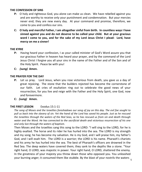#### **THE CONFESSION OF SINS**

- **P:** O holy and righteous God, you alone can make us clean. We have rebelled against you and are worthy to receive only your punishment and condemnation. But your mercies never end; they are new every day. At your command and promise, therefore, we come to you and confess our sins.
- **C: O holy and merciful Father, I am altogether sinful from birth. In countless ways I have sinned against you and do not deserve to be called your child. But at your gracious word I come to you, and for the sake of my Lord Jesus Christ I plead: Lord, have mercy on me a sinner!**

#### **THE KYRIE**

- **P:** Having heard your confession, I as your called minister of God's Word assure you that our gracious Father in heaven has heard your prayer, and by the command of the Lord Jesus Christ I forgive you all your sins in the name of the Father and of the Son and of the Holy Spirit. Peace be with you!
- **C:** *(sung)* **Amen.**

#### **THE PRAYER FOR THE DAY**

- **P:** Let us pray. Lord Jesus, when you rose victorious from death, you gave us a day of great rejoicing. The stone that the builders rejected has become the cornerstone of our faith. Let cries of exultation ring out to celebrate the good news of your resurrection, for you live and reign with the Father and the Holy Spirit, one God, now and forevermore.
- **C:** *(sung)* **Amen.**

#### **THE FIRST LESSON** Exodus 15:1-11

*The song of Moses and the Israelites foreshadows our song of joy on this day. The evil foe sought to pull us back into the slavery of sin. Yet the hand of the Lord has saved his people. Just as he rescued the Israelites through the waters of the Red Seas, so he has rescued us from sin and death through water and the Word. He has connected to the sacrificial death and victorious resurrection of his one and only Son through the waters of baptism.* 

your burning anger; it consumed them like stubble. By the blast of your nostrils the waters  $\frac{1}{5}$ Then Moses and the Israelites sang this song to the LORD: "I will sing to the LORD, for he is highly exalted. The horse and its rider he has hurled into the sea. The LORD is my strength and my song; he has become my salvation. He is my God, and I will praise him, my father's God, and I will exalt him. The LORD is a warrior; the LORD is his name. Pharaoh's chariots and his army he has hurled into the sea. The best of Pharaoh's officers are drowned in the Red Sea. The deep waters have covered them; they sank to the depths like a stone. "Your right hand, O LORD, was majestic in power. Your right hand, O LORD, shattered the enemy. In the greatness of your majesty you threw down those who opposed you. You unleashed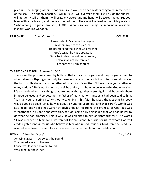piled up. The surging waters stood firm like a wall; the deep waters congealed in the heart of the sea. "The enemy boasted, 'I will pursue, I will overtake them. I will divide the spoils; I will gorge myself on them. I will draw my sword and my hand will destroy them.' But you blew with your breath, and the sea covered them. They sank like lead in the mighty waters. "Who among the gods is like you, O LORD? Who is like you—majestic in holiness, awesome in glory, working wonders?

**RESPONSE** "I Am Content" CW, #158:1

I am content! My Jesus lives again, In whom my heart is pleased. He has fulfilled the law of God for me; God's wrath he has appeased. Since he in death could perish never, I also shall not die forever. I am content! I am content!

#### **THE SECOND LESSON** Romans 4:16-25

Therefore, the promise comes by faith, so that it may be by grace and may be guaranteed to all Abraham's offspring-- not only to those who are of the law but also to those who are of the faith of Abraham. He is the father of us all. As it is written: "I have made you a father of many nations." He is our father in the sight of God, in whom he believed--the God who gives life to the dead and calls things that are not as though they were. Against all hope, Abraham in hope believed and so became the father of many nations, just as it had been said to him, "So shall your offspring be." Without weakening in his faith, he faced the fact that his body was as good as dead--since he was about a hundred years old--and that Sarah's womb was also dead. Yet he did not waver through unbelief regarding the promise of God, but was strengthened in his faith and gave glory to God, being fully persuaded that God had power to do what he had promised. This is why "it was credited to him as righteousness." The words "it was credited to him" were written not for him alone, but also for us, to whom God will credit righteousness--for us who believe in him who raised Jesus our Lord from the dead. He was delivered over to death for our sins and was raised to life for our justification.

#### **HYMN** "Amazing Grace" **CW, #379**

Amazing grace -- how sweet the sound That saved a wretch like me! I once was lost but now am found, Was blind but now I see.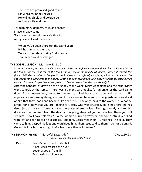The Lord has promised good to me; His Word my hope secures. He will my shield and portion be As long as life endures.

Through many dangers, toils, and snares I have already come; 'Tis grace has brought me safe thus far, And grace will lead me home.

When we've been there ten thousand years, Bright shining as the sun, We've no less days to sing God's praise Than when we'd first begun.

#### **THE GOSPEL LESSON** Matthew 28:1-10

*With the women, we have traveled along with Jesus through his Passion and watched as he was laid in the tomb. But the final trip to the tomb doesn't reveal the finality OF death. Rather, it reveals the finality FOR death. What a change! No doubt Peter was confused, wondering what had happened. Do not look for the living among the dead. Death has been swallowed up in victory; Christ has risen just as he said! Death no longer has mastery over us. Easter means that death ends in life!* 

After the Sabbath, at dawn on the first day of the week, Mary Magdalene and the other Mary went to look at the tomb. There was a violent earthquake, for an angel of the Lord came down from heaven and, going to the tomb, rolled back the stone and sat on it. His appearance was like lightning, and his clothes were white as snow. The guards were so afraid of him that they shook and became like dead men. The angel said to the women, "Do not be afraid, for I know that you are looking for Jesus, who was crucified. He is not here; he has risen, just as he said. Come and see the place where he lay. Then go quickly and tell his disciples: 'He has risen from the dead and is going ahead of you into Galilee. There you will see him.' Now I have told you." So the women hurried away from the tomb, afraid yet filled with joy, and ran to tell his disciples. Suddenly Jesus met them. "Greetings," he said. They came to him, clasped his feet and worshiped him. Then Jesus said to them, "Do not be afraid. Go and tell my brothers to go to Galilee; there they will see me."

#### **THE SERMON HYMN** "This Joyful Eastertide" CW, #160:2-3

- *(please remain standing for the hymn)*
- **Pastor:** Death's flood has lost its chill Since Jesus crossed the river; Lover of souls, from ill My passing soul deliver.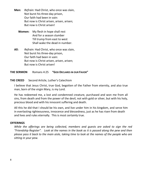- **Men:** *Refrain:* Had Christ, who once was slain, Not burst his three-day prison, Our faith had been in vain: But now is Christ arisen, arisen, arisen; But now is Christ arisen!
	- **Women:** My flesh in hope shall rest And for a season slumber Till trump from east to west Shall wake the dead in number.
- **All:** *Refrain:* Had Christ, who once was slain, Not burst his three-day prison, Our faith had been in vain: But now is Christ arisen, arisen, arisen; But now is Christ arisen!

**THE SERMON** Romans 4:25 **"GOD DECLARES IN OUR FAVOR"**

#### **THE CREED** Second Article, Luther's Catechism

I believe that Jesus Christ, true God, begotten of the Father from eternity, and also true man, born of the virgin Mary, is my Lord.

He has redeemed me, a lost and condemned creature, purchased and won me from all sins, from death and from the power of the devil, not with gold or silver, but with his holy, precious blood and with his innocent suffering and death.

All this he did that I should be his own, and live under him in his kingdom, and serve him in everlasting righteousness, innocence and blessedness, just as he has risen from death and lives and rules eternally. This is most certainly true.

#### **OFFERINGS**

*While the offerings are being collected, members and guests are asked to sign the red "Friendship Register". Look at the names in the book as it is passed along the pew and then please pass it back to the main aisle, taking time to look at the names of the people who are sitting in your pew.*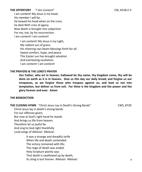**THE OFFERTORY** "I Am Content" CW, #158:2-3 I am content! My Jesus is my head; His member I will be. He bowed his head when on the cross he died With cries of agony. Now death is brought into subjection For me, too, by his resurrection. I am content! I am content!

I am content! My Jesus is my Light, My radiant sun of grace. His cheering rays beam blessings forth for all: Sweet comfort, hope, and peace. This Easter sun has brought salvation And everlasting exultation. I am content! I am content!

#### **THE PRAYERS & THE LORD'S PRAYER**

**Our Father, who art in heaven, hallowed be thy name, thy kingdom come, thy will be done on earth as it is in heaven. Give us this day our daily bread; and forgive us our trespasses, as we forgive those who trespass against us; and lead us not into temptation, but deliver us from evil. For thine is the kingdom and the power and the glory forever and ever. Amen**

#### **THE BENEDICTION**

**THE CLOSING HYMN** "Christ Jesus Lay in Death's Strong Bands" CWS, #720

Christ Jesus lay in death's strong bands

For our offenses given;

But now at God's right hand he stands

And brings us life from heaven.

Therefore let us joyful be

And sing to God right thankfully

Loud songs of Alleluia! Alleluia!

It was a strange and dreadful strife When life and death contended. The victory remained with life; The reign of death was ended. Holy Scripture plainly says That death is swallowed up by death, Its sting is lost forever. Alleluia! Alleluia!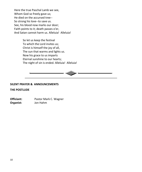Here the true Paschal Lamb we see, Whom God so freely gave us; He died on the accursed tree-- So strong his love--to save us. See, his blood now marks our door; Faith points to it; death passes o'er, And Satan cannot harm us. Alleluia! Alleluia!

> So let us keep the festival To which the Lord invites us; Christ is himself the joy of all, The sun that warms and lights us. Now his grace to us imparts Eternal sunshine to our hearts; The night of sin is ended. Alleluia! Alleluia!



#### **SILENT PRAYER & ANNOUNCEMENTS**

#### **THE POSTLUDE**

**Officiant:** Pastor Mark C. Wagner **Organist:** Jon Hahm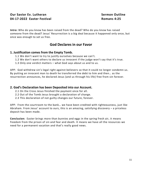#### **Our Savior Ev. Lutheran Sermon Outline Communist Communist Communist Communist Communist Communist Communist Communist Communist Communist Communist Communist Communist Communist Communist Communist Communist Communist Co 04-17-2022 Easter Festival Romans 4:25**

**Intro:** Who do you know has been raised from the dead? Who do you know has raised someone from the dead? Jesus' Resurrection is a big deal because it happened only once, but once was enough to set us free.

### **God Declares in our Favor**

#### **1. Justification comes from the Empty Tomb.**

- 1.1 We don't want to try to justify ourselves because we can't.
- 1.2 We don't want others to declare us innocent if the judge won't say that it's true.
- 1.3 Only one verdict matters what God says about us and to us.

APP: God withdrew sin's legal right against believers so that it could no longer condemn us. By putting an innocent man to death he transferred the debt to him and then… as the resurrection announces, he declared Jesus (and us through his life) free from sin forever.

#### **2. God's Declaration has been Deposited into our Account.**

- 2.1 On the Cross Jesus finished the payment once for all.
- 2.2 Out of the Tomb Jesus brought a declaration of change.
- 2.3 This declaration of not guilty changes our future, forever.

APP: From the courtroom to the bank… we have been credited with righteousness, just like Abraham. From Jesus' account to ours, this is an amazing, satisfying discovery – a priceless deposit has been made.

**Conclusion:** Easter brings more than bunnies and eggs in the spring fresh air, it means freedom from the prison of sin and fear and death. It means we have all the resources we need for a permanent vacation and that's really good news.